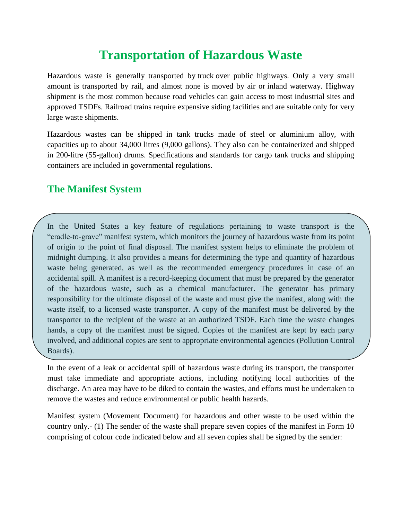## **Transportation of Hazardous Waste**

Hazardous waste is generally transported by [truck](https://www.britannica.com/technology/truck-vehicle) over public highways. Only a very small amount is transported by rail, and almost none is moved by air or [inland waterway.](https://www.britannica.com/technology/canal-waterway) Highway shipment is the most common because road vehicles can gain access to most industrial sites and approved TSDFs. Railroad trains require expensive siding facilities and are suitable only for very large waste shipments.

Hazardous wastes can be shipped in tank trucks made of steel or aluminium alloy, with capacities up to about 34,000 litres (9,000 gallons). They also can be containerized and shipped in 200-litre (55-gallon) drums. Specifications and standards for cargo tank trucks and shipping containers are included in governmental regulations.

## **The Manifest System**

In the United States a key feature of regulations pertaining to waste transport is the "cradle-to-grave" [manifest](https://www.merriam-webster.com/dictionary/manifest) system, which monitors the journey of hazardous waste from its point of origin to the point of final disposal. The manifest system helps to eliminate the problem of midnight dumping. It also provides a means for determining the type and quantity of hazardous waste being generated, as well as the recommended emergency procedures in case of an accidental spill. A manifest is a record-keeping document that must be prepared by the generator of the hazardous waste, such as a chemical manufacturer. The generator has primary responsibility for the ultimate disposal of the waste and must give the manifest, along with the waste itself, to a licensed waste transporter. A copy of the manifest must be delivered by the transporter to the recipient of the waste at an authorized TSDF. Each time the waste changes hands, a copy of the manifest must be signed. Copies of the manifest are kept by each party involved, and additional copies are sent to appropriate environmental agencies (Pollution Control Boards).

In the event of a leak or accidental spill of hazardous waste during its transport, the transporter must take immediate and appropriate actions, including notifying local authorities of the discharge. An area may have to be diked to contain the wastes, and efforts must be undertaken to remove the wastes and reduce environmental or [public health](https://www.britannica.com/topic/public-health) hazards.

Manifest system (Movement Document) for hazardous and other waste to be used within the country only.- (1) The sender of the waste shall prepare seven copies of the manifest in Form 10 comprising of colour code indicated below and all seven copies shall be signed by the sender: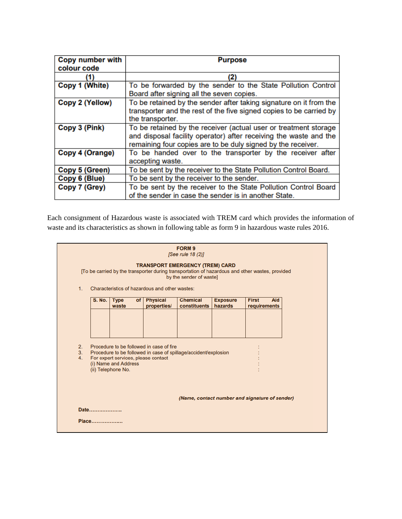| <b>Copy number with</b> | <b>Purpose</b>                                                      |  |  |  |  |  |  |
|-------------------------|---------------------------------------------------------------------|--|--|--|--|--|--|
| colour code             |                                                                     |  |  |  |  |  |  |
| (1)                     | (2)                                                                 |  |  |  |  |  |  |
| Copy 1 (White)          | To be forwarded by the sender to the State Pollution Control        |  |  |  |  |  |  |
|                         | Board after signing all the seven copies.                           |  |  |  |  |  |  |
| Copy 2 (Yellow)         | To be retained by the sender after taking signature on it from the  |  |  |  |  |  |  |
|                         | transporter and the rest of the five signed copies to be carried by |  |  |  |  |  |  |
|                         | the transporter.                                                    |  |  |  |  |  |  |
| Copy 3 (Pink)           | To be retained by the receiver (actual user or treatment storage    |  |  |  |  |  |  |
|                         | and disposal facility operator) after receiving the waste and the   |  |  |  |  |  |  |
|                         | remaining four copies are to be duly signed by the receiver.        |  |  |  |  |  |  |
| Copy 4 (Orange)         | To be handed over to the transporter by the receiver after          |  |  |  |  |  |  |
|                         | accepting waste.                                                    |  |  |  |  |  |  |
| Copy 5 (Green)          | To be sent by the receiver to the State Pollution Control Board.    |  |  |  |  |  |  |
| Copy 6 (Blue)           | To be sent by the receiver to the sender.                           |  |  |  |  |  |  |
| Copy 7 (Grey)           | To be sent by the receiver to the State Pollution Control Board     |  |  |  |  |  |  |
|                         | of the sender in case the sender is in another State.               |  |  |  |  |  |  |

Each consignment of Hazardous waste is associated with TREM card which provides the information of waste and its characteristics as shown in following table as form 9 in hazardous waste rules 2016.

| FORM 9<br>[See rule 18 (2)]<br><b>TRANSPORT EMERGENCY (TREM) CARD</b><br>[To be carried by the transporter during transportation of hazardous and other wastes, provided<br>by the sender of waste]<br>Characteristics of hazardous and other wastes:<br>1. |                                                        |                                                                                                                                                                                                  |                      |      |                                |                                 |                            |                                     |  |  |  |
|-------------------------------------------------------------------------------------------------------------------------------------------------------------------------------------------------------------------------------------------------------------|--------------------------------------------------------|--------------------------------------------------------------------------------------------------------------------------------------------------------------------------------------------------|----------------------|------|--------------------------------|---------------------------------|----------------------------|-------------------------------------|--|--|--|
|                                                                                                                                                                                                                                                             |                                                        | <b>S. No.</b>                                                                                                                                                                                    | <b>Type</b><br>waste | of l | <b>Physical</b><br>properties/ | <b>Chemical</b><br>constituents | <b>Exposure</b><br>hazards | <b>First</b><br>Aid<br>requirements |  |  |  |
|                                                                                                                                                                                                                                                             | 2.<br>3.<br>4.                                         | Procedure to be followed in case of fire<br>Procedure to be followed in case of spillage/accident/explosion<br>For expert services, please contact<br>(i) Name and Address<br>(ii) Telephone No. |                      |      |                                |                                 |                            |                                     |  |  |  |
|                                                                                                                                                                                                                                                             | (Name, contact number and signature of sender)<br>Date |                                                                                                                                                                                                  |                      |      |                                |                                 |                            |                                     |  |  |  |
|                                                                                                                                                                                                                                                             |                                                        | Place                                                                                                                                                                                            |                      |      |                                |                                 |                            |                                     |  |  |  |